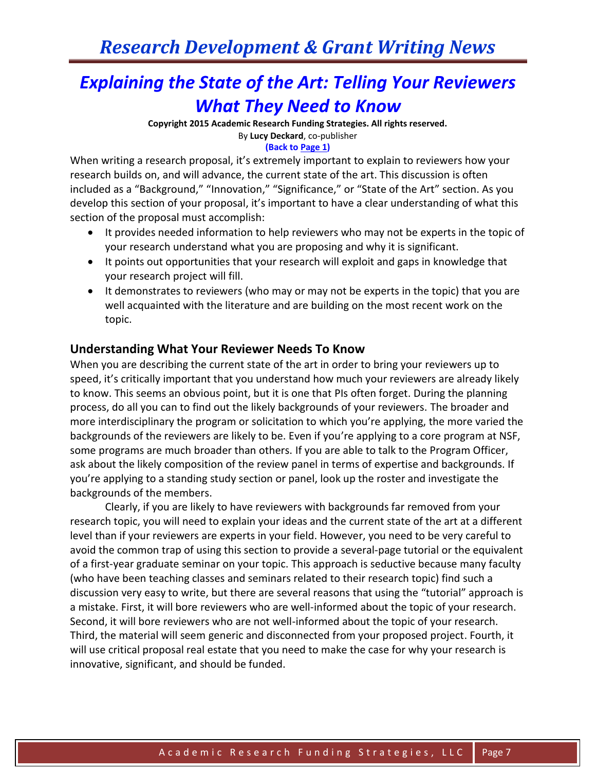## *Explaining the State of the Art: Telling Your Reviewers What They Need to Know*

**Copyright 2015 Academic Research Funding Strategies. All rights reserved.** By **Lucy Deckard**, co-publisher **(Back to Page 1)**

When writing a research proposal, it's extremely important to explain to reviewers how your research builds on, and will advance, the current state of the art. This discussion is often included as a "Background," "Innovation," "Significance," or "State of the Art" section. As you develop this section of your proposal, it's important to have a clear understanding of what this section of the proposal must accomplish:

- It provides needed information to help reviewers who may not be experts in the topic of your research understand what you are proposing and why it is significant.
- It points out opportunities that your research will exploit and gaps in knowledge that your research project will fill.
- It demonstrates to reviewers (who may or may not be experts in the topic) that you are well acquainted with the literature and are building on the most recent work on the topic.

### **Understanding What Your Reviewer Needs To Know**

When you are describing the current state of the art in order to bring your reviewers up to speed, it's critically important that you understand how much your reviewers are already likely to know. This seems an obvious point, but it is one that PIs often forget. During the planning process, do all you can to find out the likely backgrounds of your reviewers. The broader and more interdisciplinary the program or solicitation to which you're applying, the more varied the backgrounds of the reviewers are likely to be. Even if you're applying to a core program at NSF, some programs are much broader than others. If you are able to talk to the Program Officer, ask about the likely composition of the review panel in terms of expertise and backgrounds. If you're applying to a standing study section or panel, look up the roster and investigate the backgrounds of the members.

Clearly, if you are likely to have reviewers with backgrounds far removed from your research topic, you will need to explain your ideas and the current state of the art at a different level than if your reviewers are experts in your field. However, you need to be very careful to avoid the common trap of using this section to provide a several-page tutorial or the equivalent of a first-year graduate seminar on your topic. This approach is seductive because many faculty (who have been teaching classes and seminars related to their research topic) find such a discussion very easy to write, but there are several reasons that using the "tutorial" approach is a mistake. First, it will bore reviewers who are well-informed about the topic of your research. Second, it will bore reviewers who are not well-informed about the topic of your research. Third, the material will seem generic and disconnected from your proposed project. Fourth, it will use critical proposal real estate that you need to make the case for why your research is innovative, significant, and should be funded.